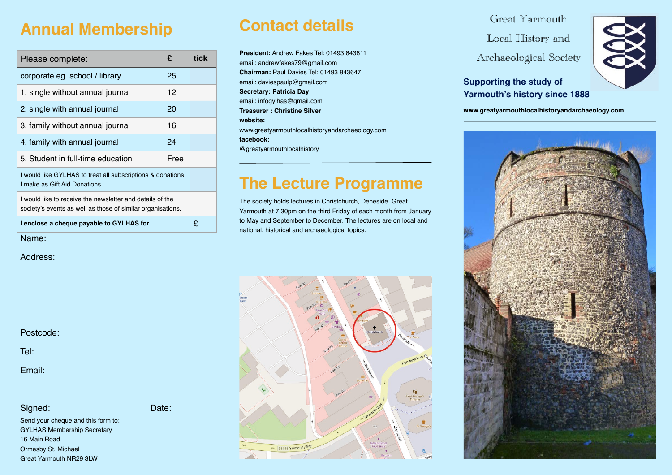### **Annual Membership**

| Please complete:                                                                                                         | £    | tick |
|--------------------------------------------------------------------------------------------------------------------------|------|------|
| corporate eg. school / library                                                                                           | 25   |      |
| 1. single without annual journal                                                                                         | 12   |      |
| 2. single with annual journal                                                                                            | 20   |      |
| 3. family without annual journal                                                                                         | 16   |      |
| 4. family with annual journal                                                                                            | 24   |      |
| 5. Student in full-time education                                                                                        | Free |      |
| I would like GYLHAS to treat all subscriptions & donations<br>I make as Gift Aid Donations.                              |      |      |
| I would like to receive the newsletter and details of the<br>society's events as well as those of similar organisations. |      |      |
| I enclose a cheque payable to GYLHAS for                                                                                 |      | £    |

Name:

Address:

Postcode:

Tel:

Email:

#### Signed: Date:

Send your cheque and this form to: GYLHAS Membership Secretary 16 Main Road Ormesby St. Michael Great Yarmouth NR29 3LW

# **Contact details**

**President:** Andrew Fakes Tel: 01493 843811 email: andrewfakes79@gmail.com **Chairman:** Paul Davies Tel: 01493 843647 email: daviespaulp@gmail.com **Secretary: Patricia Day** email: infogylhas@gmail.com **Treasurer : Christine Silver website:** www.greatyarmouthlocalhistoryandarchaeology.com **facebook:** @greatyarmouthlocalhistory

# **The Lecture Programme**

The society holds lectures in Christchurch, Deneside, Great Yarmouth at 7.30pm on the third Friday of each month from January to May and September to December. The lectures are on local and national, historical and archaeological topics.



Great Yarmouth

Local History and Archaeological Society



**Supporting the study of Yarmouth's history since 1888**

**www.greatyarmouthlocalhistoryandarchaeology.com**